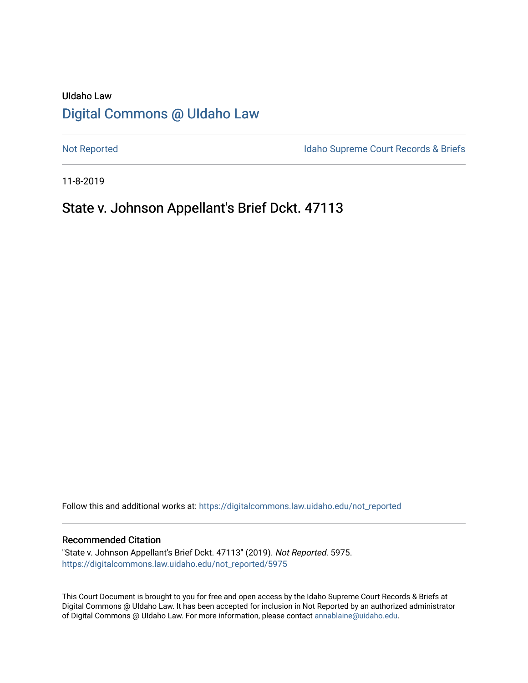# UIdaho Law [Digital Commons @ UIdaho Law](https://digitalcommons.law.uidaho.edu/)

[Not Reported](https://digitalcommons.law.uidaho.edu/not_reported) **Idaho Supreme Court Records & Briefs** 

11-8-2019

# State v. Johnson Appellant's Brief Dckt. 47113

Follow this and additional works at: [https://digitalcommons.law.uidaho.edu/not\\_reported](https://digitalcommons.law.uidaho.edu/not_reported?utm_source=digitalcommons.law.uidaho.edu%2Fnot_reported%2F5975&utm_medium=PDF&utm_campaign=PDFCoverPages) 

#### Recommended Citation

"State v. Johnson Appellant's Brief Dckt. 47113" (2019). Not Reported. 5975. [https://digitalcommons.law.uidaho.edu/not\\_reported/5975](https://digitalcommons.law.uidaho.edu/not_reported/5975?utm_source=digitalcommons.law.uidaho.edu%2Fnot_reported%2F5975&utm_medium=PDF&utm_campaign=PDFCoverPages)

This Court Document is brought to you for free and open access by the Idaho Supreme Court Records & Briefs at Digital Commons @ UIdaho Law. It has been accepted for inclusion in Not Reported by an authorized administrator of Digital Commons @ UIdaho Law. For more information, please contact [annablaine@uidaho.edu](mailto:annablaine@uidaho.edu).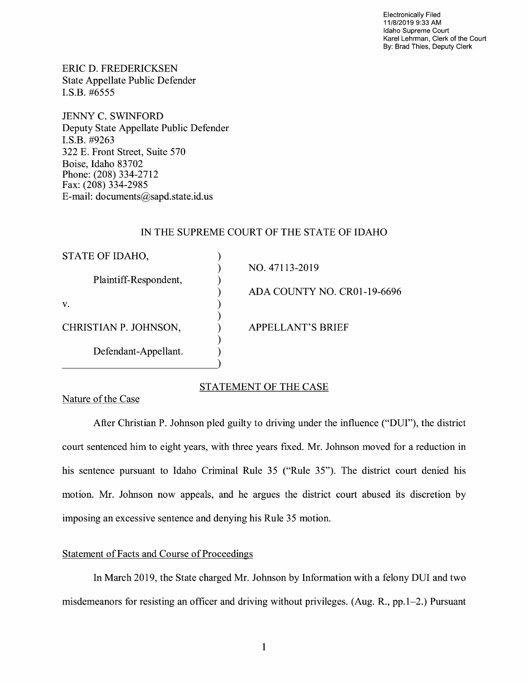Electronically Filed 11/8/2019 9:33 **AM**  Idaho Supreme Court Karel Lehrman, Clerk of the Court By: Brad Thies, Deputy Clerk

ERIC D. FREDERICKSEN State Appellate Public Defender I.S.B. #6555

JENNY C. SWINFORD Deputy State Appellate Public Defender I.S.B. #9263 322 E. Front Street, Suite 570 Boise, Idaho 83702 Phone: (208) 334-2712 Fax: (208) 334-2985 E-mail: documents@sapd.state.id. us

# IN THE SUPREME COURT OF THE STATE OF IDAHO

| STATE OF IDAHO,       |                             |
|-----------------------|-----------------------------|
| Plaintiff-Respondent, | NO. 47113-2019              |
|                       | ADA COUNTY NO. CR01-19-6696 |
| V.                    |                             |
| CHRISTIAN P. JOHNSON, | <b>APPELLANT'S BRIEF</b>    |
| Defendant-Appellant.  |                             |

## STATEMENT OF THE CASE

Nature of the Case

After Christian P. Johnson pied guilty to driving under the influence ("DUI"), the district court sentenced him to eight years, with three years fixed. Mr. Johnson moved for a reduction in his sentence pursuant to Idaho Criminal Rule 35 ("Rule 35"). The district court denied his motion. Mr. Johnson now appeals, and he argues the district court abused its discretion by imposing an excessive sentence and denying his Rule 35 motion.

# Statement of Facts and Course of Proceedings

In March 2019, the State charged Mr. Johnson by Information with a felony DUI and two misdemeanors for resisting an officer and driving without privileges. (Aug. R., pp.1-2.) Pursuant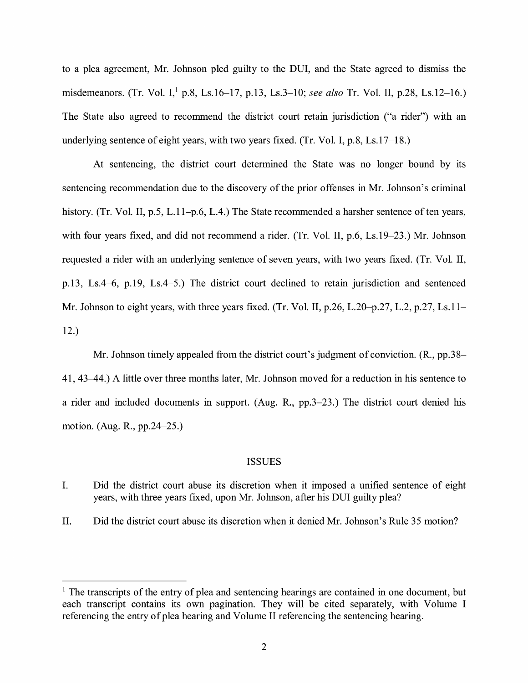to a plea agreement, Mr. Johnson pied guilty to the DUI, and the State agreed to dismiss the misdemeanors. (Tr. Vol. 1, 1 p.8, Ls.16-17, p.13, Ls.3-10; *see also* Tr. Vol. II, p.28, Ls.12-16.) The State also agreed to recommend the district court retain jurisdiction ("a rider") with an underlying sentence of eight years, with two years fixed. (Tr. Vol. I, p.8, Ls.17-18.)

At sentencing, the district court determined the State was no longer bound by its sentencing recommendation due to the discovery of the prior offenses in Mr. Johnson's criminal history. (Tr. Vol. II, p.5, L.11-p.6, L.4.) The State recommended a harsher sentence of ten years, with four years fixed, and did not recommend a rider. (Tr. Vol. II, p.6, Ls.19-23.) Mr. Johnson requested a rider with an underlying sentence of seven years, with two years fixed. (Tr. Vol. II, p.13, Ls.4-6, p.19, Ls.4-5.) The district court declined to retain jurisdiction and sentenced Mr. Johnson to eight years, with three years fixed. (Tr. Vol. II, p.26, L.20–p.27, L.2, p.27, Ls.11– 12.)

Mr. Johnson timely appealed from the district court's judgment of conviction. (R., pp.38- 41, 43--44.) A little over three months later, Mr. Johnson moved for a reduction in his sentence to a rider and included documents in support. (Aug. R., pp.3-23.) The district court denied his motion. (Aug. R., pp.24-25.)

## ISSUES

- I. Did the district court abuse its discretion when it imposed a unified sentence of eight years, with three years fixed, upon Mr. Johnson, after his DUI guilty plea?
- II. Did the district court abuse its discretion when it denied Mr. Johnson's Rule 35 motion?

<sup>&</sup>lt;sup>1</sup> The transcripts of the entry of plea and sentencing hearings are contained in one document, but each transcript contains its own pagination. They will be cited separately, with Volume I referencing the entry of plea hearing and Volume II referencing the sentencing hearing.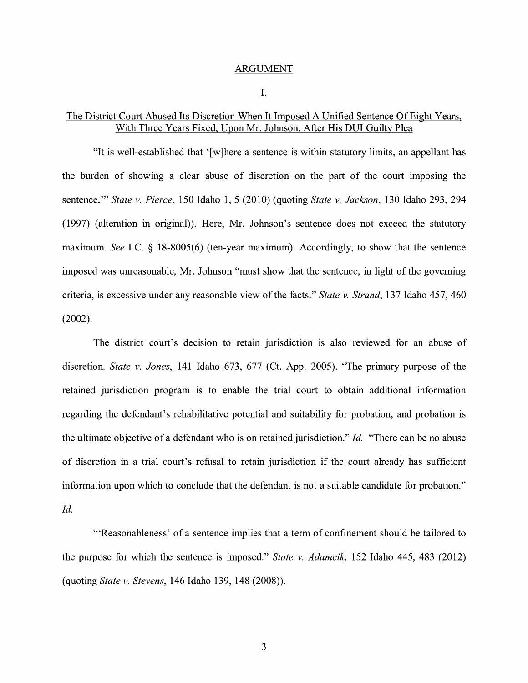#### ARGUMENT

I.

## The District Court Abused Its Discretion When It Imposed A Unified Sentence Of Eight Years, With Three Years Fixed, Upon Mr. Johnson, After His DUI Guilty Plea

"It is well-established that '[w]here a sentence is within statutory limits, an appellant has the burden of showing a clear abuse of discretion on the part of the court imposing the sentence."' *State v. Pierce,* 150 Idaho 1, 5 (2010) (quoting *State v. Jackson,* 130 Idaho 293, 294 (1997) (alteration in original)). Here, Mr. Johnson's sentence does not exceed the statutory maximum. *See* LC. § 18-8005(6) (ten-year maximum). Accordingly, to show that the sentence imposed was unreasonable, Mr. Johnson "must show that the sentence, in light of the governing criteria, is excessive under any reasonable view of the facts." *State v. Strand,* 137 Idaho 457, 460 (2002).

The district court's decision to retain jurisdiction is also reviewed for an abuse of discretion. *State v. Jones,* 141 Idaho 673, 677 (Ct. App. 2005). "The primary purpose of the retained jurisdiction program is to enable the trial court to obtain additional information regarding the defendant's rehabilitative potential and suitability for probation, and probation is the ultimate objective of a defendant who is on retained jurisdiction." *Id.* "There can be no abuse of discretion in a trial court's refusal to retain jurisdiction if the court already has sufficient information upon which to conclude that the defendant is not a suitable candidate for probation."

*Id.* 

"'Reasonableness' of a sentence implies that a term of confinement should be tailored to the purpose for which the sentence is imposed." *State v. Adamcik,* 152 Idaho 445, 483 (2012) (quoting *State v. Stevens,* 146 Idaho 139, 148 (2008)).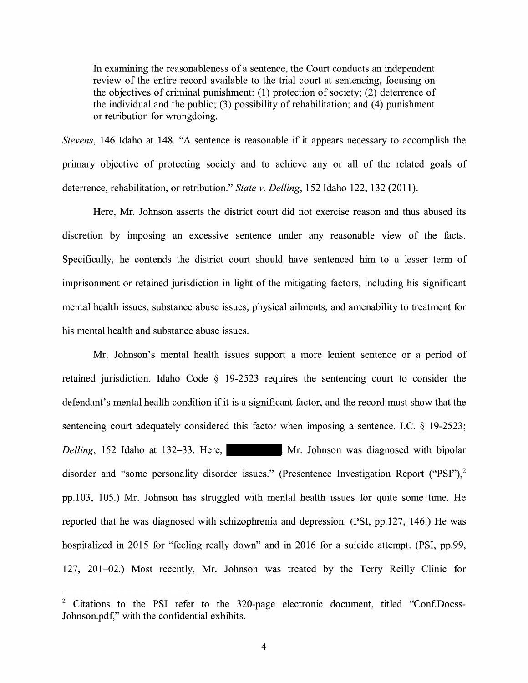In examining the reasonableness of a sentence, the Court conducts an independent review of the entire record available to the trial court at sentencing, focusing on the objectives of criminal punishment: (1) protection of society; (2) deterrence of the individual and the public;  $(3)$  possibility of rehabilitation; and  $(4)$  punishment or retribution for wrongdoing.

*Stevens,* 146 Idaho at 148. "A sentence is reasonable if it appears necessary to accomplish the primary objective of protecting society and to achieve any or all of the related goals of deterrence, rehabilitation, or retribution." *State v. Delling,* 152 Idaho 122, 132 (2011).

Here, Mr. Johnson asserts the district court did not exercise reason and thus abused its discretion by imposing an excessive sentence under any reasonable view of the facts. Specifically, he contends the district court should have sentenced him to a lesser term of imprisonment or retained jurisdiction in light of the mitigating factors, including his significant mental health issues, substance abuse issues, physical ailments, and amenability to treatment for his mental health and substance abuse issues.

Mr. Johnson's mental health issues support a more lenient sentence or a period of retained jurisdiction. Idaho Code § 19-2523 requrres the sentencing court to consider the defendant's mental health condition if it is a significant factor, and the record must show that the sentencing court adequately considered this factor when imposing a sentence. I.C. § 19-2523; *Delling*, 152 Idaho at 132–33. Here, Mr. Johnson was diagnosed with bipolar disorder and "some personality disorder issues." (Presentence Investigation Report ("PSI"),<sup>2</sup> pp.103, 105.) Mr. Johnson has struggled with mental health issues for quite some time. He reported that he was diagnosed with schizophrenia and depression. (PSI, pp.127, 146.) He was hospitalized in 2015 for "feeling really down" and in 2016 for a suicide attempt. (PSI, pp.99, 127, 201-02.) Most recently, Mr. Johnson was treated by the Terry Reilly Clinic for

<sup>&</sup>lt;sup>2</sup> Citations to the PSI refer to the 320-page electronic document, titled "Conf.Docss-Johnson.pdf," with the confidential exhibits.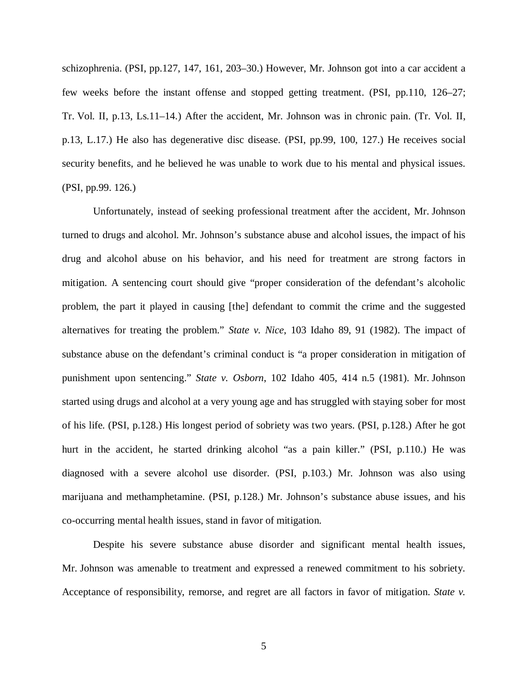schizophrenia. (PSI, pp.127, 147, 161, 203–30.) However, Mr. Johnson got into a car accident a few weeks before the instant offense and stopped getting treatment. (PSI, pp.110, 126–27; Tr. Vol. II, p.13, Ls.11–14.) After the accident, Mr. Johnson was in chronic pain. (Tr. Vol. II, p.13, L.17.) He also has degenerative disc disease. (PSI, pp.99, 100, 127.) He receives social security benefits, and he believed he was unable to work due to his mental and physical issues. (PSI, pp.99. 126.)

Unfortunately, instead of seeking professional treatment after the accident, Mr. Johnson turned to drugs and alcohol. Mr. Johnson's substance abuse and alcohol issues, the impact of his drug and alcohol abuse on his behavior, and his need for treatment are strong factors in mitigation. A sentencing court should give "proper consideration of the defendant's alcoholic problem, the part it played in causing [the] defendant to commit the crime and the suggested alternatives for treating the problem." *State v. Nice*, 103 Idaho 89, 91 (1982). The impact of substance abuse on the defendant's criminal conduct is "a proper consideration in mitigation of punishment upon sentencing." *State v. Osborn*, 102 Idaho 405, 414 n.5 (1981). Mr. Johnson started using drugs and alcohol at a very young age and has struggled with staying sober for most of his life. (PSI, p.128.) His longest period of sobriety was two years. (PSI, p.128.) After he got hurt in the accident, he started drinking alcohol "as a pain killer." (PSI, p.110.) He was diagnosed with a severe alcohol use disorder. (PSI, p.103.) Mr. Johnson was also using marijuana and methamphetamine. (PSI, p.128.) Mr. Johnson's substance abuse issues, and his co-occurring mental health issues, stand in favor of mitigation.

Despite his severe substance abuse disorder and significant mental health issues, Mr. Johnson was amenable to treatment and expressed a renewed commitment to his sobriety. Acceptance of responsibility, remorse, and regret are all factors in favor of mitigation. *State v.*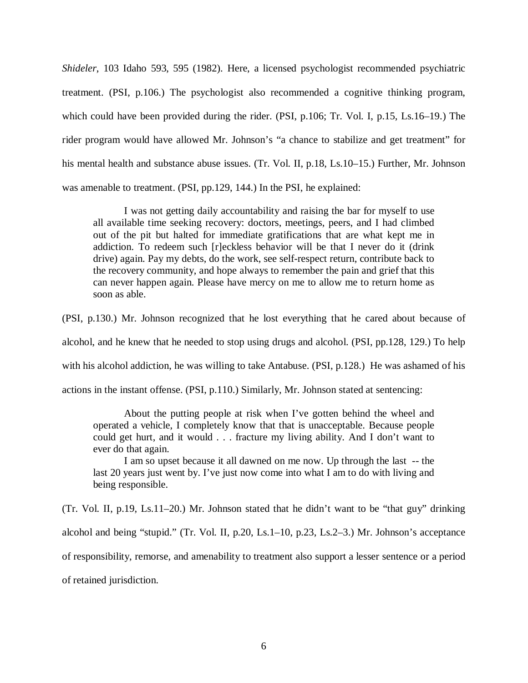*Shideler*, 103 Idaho 593, 595 (1982). Here, a licensed psychologist recommended psychiatric treatment. (PSI, p.106.) The psychologist also recommended a cognitive thinking program, which could have been provided during the rider. (PSI, p.106; Tr. Vol. I, p.15, Ls.16–19.) The rider program would have allowed Mr. Johnson's "a chance to stabilize and get treatment" for his mental health and substance abuse issues. (Tr. Vol. II, p.18, Ls.10–15.) Further, Mr. Johnson was amenable to treatment. (PSI, pp.129, 144.) In the PSI, he explained:

I was not getting daily accountability and raising the bar for myself to use all available time seeking recovery: doctors, meetings, peers, and I had climbed out of the pit but halted for immediate gratifications that are what kept me in addiction. To redeem such [r]eckless behavior will be that I never do it (drink drive) again. Pay my debts, do the work, see self-respect return, contribute back to the recovery community, and hope always to remember the pain and grief that this can never happen again. Please have mercy on me to allow me to return home as soon as able.

(PSI, p.130.) Mr. Johnson recognized that he lost everything that he cared about because of alcohol, and he knew that he needed to stop using drugs and alcohol. (PSI, pp.128, 129.) To help with his alcohol addiction, he was willing to take Antabuse. (PSI, p.128.) He was ashamed of his actions in the instant offense. (PSI, p.110.) Similarly, Mr. Johnson stated at sentencing:

About the putting people at risk when I've gotten behind the wheel and operated a vehicle, I completely know that that is unacceptable. Because people could get hurt, and it would . . . fracture my living ability. And I don't want to ever do that again.

I am so upset because it all dawned on me now. Up through the last -- the last 20 years just went by. I've just now come into what I am to do with living and being responsible.

(Tr. Vol. II, p.19, Ls.11–20.) Mr. Johnson stated that he didn't want to be "that guy" drinking alcohol and being "stupid." (Tr. Vol. II, p.20, Ls.1–10, p.23, Ls.2–3.) Mr. Johnson's acceptance of responsibility, remorse, and amenability to treatment also support a lesser sentence or a period of retained jurisdiction.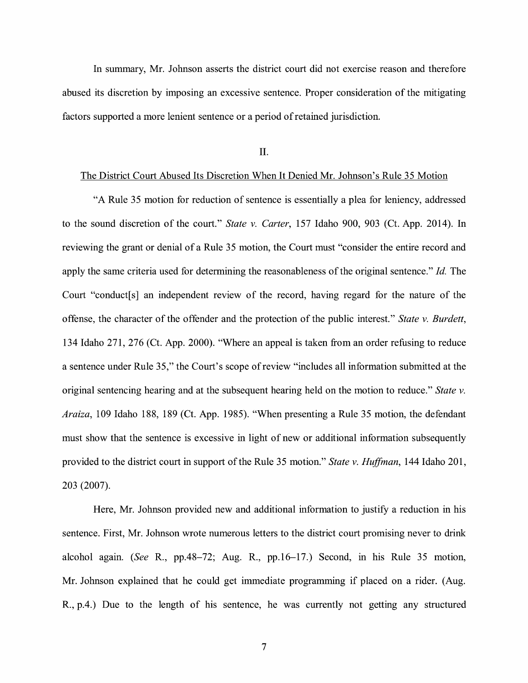In summary, Mr. Johnson asserts the district court did not exercise reason and therefore abused its discretion by imposing an excessive sentence. Proper consideration of the mitigating factors supported a more lenient sentence or a period of retained jurisdiction.

II.

#### The District Court Abused Its Discretion When It Denied Mr. Johnson's Rule 35 Motion

"A Rule 35 motion for reduction of sentence is essentially a plea for leniency, addressed to the sound discretion of the court." *State v. Carter,* 157 Idaho 900, 903 (Ct. App. 2014). In reviewing the grant or denial of a Rule 35 motion, the Court must "consider the entire record and apply the same criteria used for determining the reasonableness of the original sentence." *Id.* The Court "conduct[s] an independent review of the record, having regard for the nature of the offense, the character of the offender and the protection of the public interest." *State v. Burdett,*  134 Idaho 271, 276 (Ct. App. 2000). "Where an appeal is taken from an order refusing to reduce a sentence under Rule 35," the Court's scope of review "includes all information submitted at the original sentencing hearing and at the subsequent hearing held on the motion to reduce." *State v. Araiza,* 109 Idaho 188, 189 (Ct. App. 1985). "When presenting a Rule 35 motion, the defendant must show that the sentence is excessive in light of new or additional information subsequently provided to the district court in support of the Rule 35 motion." *State v. Huffman*, 144 Idaho 201, 203 (2007).

Here, Mr. Johnson provided new and additional information to justify a reduction in his sentence. First, Mr. Johnson wrote numerous letters to the district court promising never to drink alcohol again. *(See* R., pp.48-72; Aug. R., pp.16-17.) Second, in his Rule 35 motion, Mr. Johnson explained that he could get immediate programming if placed on a rider. (Aug. R., p.4.) Due to the length of his sentence, he was currently not getting any structured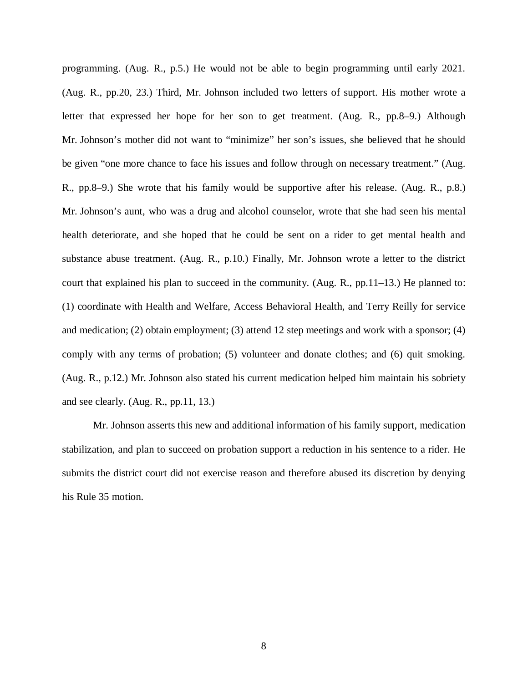programming. (Aug. R., p.5.) He would not be able to begin programming until early 2021. (Aug. R., pp.20, 23.) Third, Mr. Johnson included two letters of support. His mother wrote a letter that expressed her hope for her son to get treatment. (Aug. R., pp.8–9.) Although Mr. Johnson's mother did not want to "minimize" her son's issues, she believed that he should be given "one more chance to face his issues and follow through on necessary treatment." (Aug. R., pp.8–9.) She wrote that his family would be supportive after his release. (Aug. R., p.8.) Mr. Johnson's aunt, who was a drug and alcohol counselor, wrote that she had seen his mental health deteriorate, and she hoped that he could be sent on a rider to get mental health and substance abuse treatment. (Aug. R., p.10.) Finally, Mr. Johnson wrote a letter to the district court that explained his plan to succeed in the community. (Aug. R., pp.11–13.) He planned to: (1) coordinate with Health and Welfare, Access Behavioral Health, and Terry Reilly for service and medication; (2) obtain employment; (3) attend 12 step meetings and work with a sponsor; (4) comply with any terms of probation; (5) volunteer and donate clothes; and (6) quit smoking. (Aug. R., p.12.) Mr. Johnson also stated his current medication helped him maintain his sobriety and see clearly. (Aug. R., pp.11, 13.)

Mr. Johnson asserts this new and additional information of his family support, medication stabilization, and plan to succeed on probation support a reduction in his sentence to a rider. He submits the district court did not exercise reason and therefore abused its discretion by denying his Rule 35 motion.